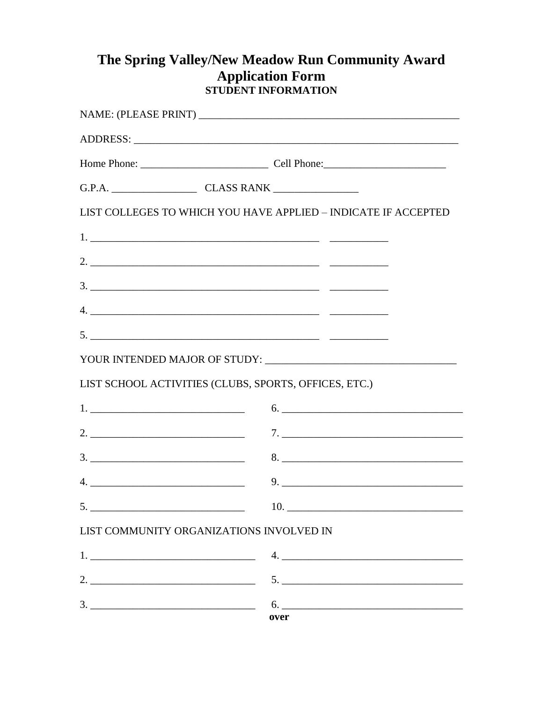## The Spring Valley/New Meadow Run Community Award **Application Form<br>STUDENT INFORMATION**

| LIST COLLEGES TO WHICH YOU HAVE APPLIED - INDICATE IF ACCEPTED                                                                                                                                                                                                                                                         |
|------------------------------------------------------------------------------------------------------------------------------------------------------------------------------------------------------------------------------------------------------------------------------------------------------------------------|
|                                                                                                                                                                                                                                                                                                                        |
| 2. $\frac{1}{2}$ $\frac{1}{2}$ $\frac{1}{2}$ $\frac{1}{2}$ $\frac{1}{2}$ $\frac{1}{2}$ $\frac{1}{2}$ $\frac{1}{2}$ $\frac{1}{2}$ $\frac{1}{2}$ $\frac{1}{2}$ $\frac{1}{2}$ $\frac{1}{2}$ $\frac{1}{2}$ $\frac{1}{2}$ $\frac{1}{2}$ $\frac{1}{2}$ $\frac{1}{2}$ $\frac{1}{2}$ $\frac{1}{2}$ $\frac{1}{2}$ $\frac{1}{2}$ |
|                                                                                                                                                                                                                                                                                                                        |
| $4. \underline{\hspace{1.5cm}}$                                                                                                                                                                                                                                                                                        |
|                                                                                                                                                                                                                                                                                                                        |
|                                                                                                                                                                                                                                                                                                                        |
| LIST SCHOOL ACTIVITIES (CLUBS, SPORTS, OFFICES, ETC.)                                                                                                                                                                                                                                                                  |
|                                                                                                                                                                                                                                                                                                                        |
| $7. \_$                                                                                                                                                                                                                                                                                                                |
| 8.                                                                                                                                                                                                                                                                                                                     |
|                                                                                                                                                                                                                                                                                                                        |
| <b>10.</b> The contract of the contract of the contract of the contract of the contract of the contract of the contract of the contract of the contract of the contract of the contract of the contract of the contract of the cont                                                                                    |
| LIST COMMUNITY ORGANIZATIONS INVOLVED IN                                                                                                                                                                                                                                                                               |
|                                                                                                                                                                                                                                                                                                                        |
|                                                                                                                                                                                                                                                                                                                        |
| $3.$ 6.                                                                                                                                                                                                                                                                                                                |
| over                                                                                                                                                                                                                                                                                                                   |